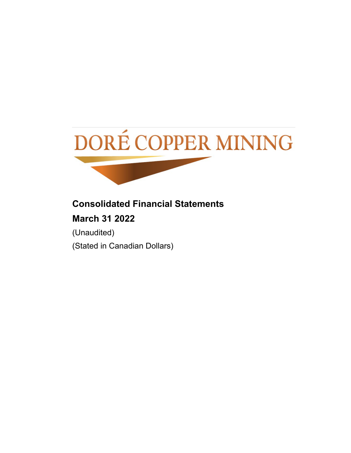

# **Consolidated Financial Statements March 31 2022**

(Unaudited) (Stated in Canadian Dollars)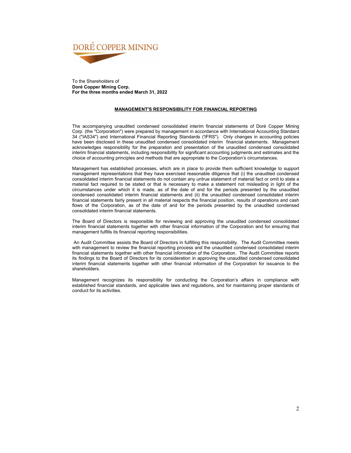

To the Shareholders of **Doré Copper Mining Corp. For the three months ended March 31, 2022**

### **MANAGEMENT'S RESPONSIBILITY FOR FINANCIAL REPORTING**

The accompanying unaudited condensed consolidated interim financial statements of Doré Copper Mining Corp. (the "Corporation") were prepared by management in accordance with International Accounting Standard 34 ("IAS34") and International Financial Reporting Standards ('IFRS"). Only changes in accounting policies have been disclosed in these unaudited condensed consolidated interim financial statements. Management acknowledges responsibility for the preparation and presentation of the unaudited condensed consolidated interim financial statements, including responsibility for significant accounting judgments and estimates and the choice of accounting principles and methods that are appropriate to the Corporation's circumstances.

Management has established processes, which are in place to provide them sufficient knowledge to support management representations that they have exercised reasonable diligence that (i) the unaudited condensed consolidated interim financial statements do not contain any untrue statement of material fact or omit to state a material fact required to be stated or that is necessary to make a statement not misleading in light of the circumstances under which it is made, as of the date of and for the periods presented by the unaudited condensed consolidated interim financial statements and (ii) the unaudited condensed consolidated interim financial statements fairly present in all material respects the financial position, results of operations and cash flows of the Corporation, as of the date of and for the periods presented by the unaudited condensed consolidated interim financial statements.

The Board of Directors is responsible for reviewing and approving the unaudited condensed consolidated interim financial statements together with other financial information of the Corporation and for ensuring that management fulfills its financial reporting responsibilities.

 An Audit Committee assists the Board of Directors in fulfilling this responsibility. The Audit Committee meets with management to review the financial reporting process and the unaudited condensed consolidated interim financial statements together with other financial information of the Corporation. The Audit Committee reports its findings to the Board of Directors for its consideration in approving the unaudited condensed consolidated interim financial statements together with other financial information of the Corporation for issuance to the shareholders.

Management recognizes its responsibility for conducting the Corporation's affairs in compliance with established financial standards, and applicable laws and regulations, and for maintaining proper standards of conduct for its activities.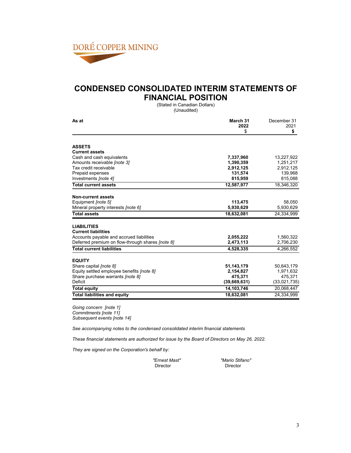

### **CONDENSED CONSOLIDATED INTERIM STATEMENTS OF FINANCIAL POSITION**

(Stated in Canadian Dollars) (Unaudited)

| As at                                                   | March 31     | December 31  |  |
|---------------------------------------------------------|--------------|--------------|--|
|                                                         | 2022         | 2021         |  |
|                                                         | \$           | \$           |  |
| <b>ASSETS</b>                                           |              |              |  |
| <b>Current assets</b>                                   |              |              |  |
| Cash and cash equivalents                               | 7,337,960    | 13,227,922   |  |
| Amounts receivable [note 3]                             | 1,390,359    | 1,251,217    |  |
| Tax credit receivable                                   | 2,912,125    | 2,912,125    |  |
| Prepaid expenses                                        | 131,574      | 139,968      |  |
| Investments [note 4]                                    | 815,959      | 815,088      |  |
| <b>Total current assets</b>                             | 12,587,977   | 18,346,320   |  |
| <b>Non-current assets</b>                               |              |              |  |
| Equipment <i>[note 5]</i>                               | 113,475      | 58,050       |  |
| Mineral property interests <i>[note 6]</i>              | 5,930,629    | 5,930,629    |  |
| <b>Total assets</b>                                     | 18,632,081   | 24.334.999   |  |
|                                                         |              |              |  |
| <b>LIABILITIES</b>                                      |              |              |  |
| <b>Current liabilities</b>                              |              |              |  |
| Accounts payable and accrued liabilities                | 2,055,222    | 1,560,322    |  |
| Deferred premium on flow-through shares <i>[note 8]</i> | 2,473,113    | 2,706,230    |  |
| <b>Total current liabilities</b>                        | 4,528,335    | 4,266,552    |  |
| <b>EQUITY</b>                                           |              |              |  |
| Share capital <i>[note 8]</i>                           | 51,143,179   | 50,643,179   |  |
| Equity settled employee benefits <i>[note 8]</i>        | 2,154,827    | 1,971,632    |  |
| Share purchase warrants <i>[note 8]</i>                 | 475,371      | 475,371      |  |
| Deficit                                                 | (39,669,631) | (33,021,735) |  |
| <b>Total equity</b>                                     | 14,103,746   | 20,068,447   |  |
| <b>Total liabilities and equity</b>                     | 18,632,081   | 24,334,999   |  |

*Going concern [note 1] Commitments [note 11] Subsequent events [note 14]*

*See accompanying notes to the condensed consolidated interim financial statements*

*These financial statements are authorized for issue by the Board of Directors on May 26, 2022.*

*They are signed on the Corporation's behalf by:*

| "Ernest Mast" |
|---------------|
| Director      |

*"Ernest Mast" "Mario Stifano"* Director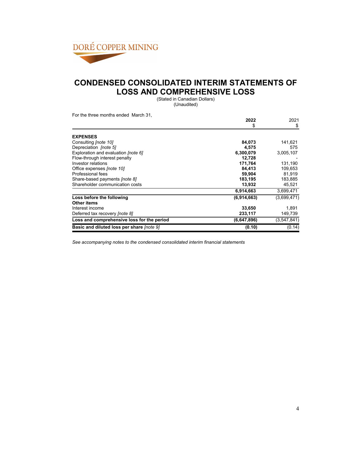

### **CONDENSED CONSOLIDATED INTERIM STATEMENTS OF LOSS AND COMPREHENSIVE LOSS**

(Stated in Canadian Dollars) (Unaudited)

For the three months ended March 31,

| ו טוויטווען שטוויט טווענט טוויז טוויטווי   | 2022<br>\$  | 2021<br>\$  |
|--------------------------------------------|-------------|-------------|
|                                            |             |             |
| <b>EXPENSES</b>                            |             |             |
| Consulting <i>[note 10]</i>                | 84,073      | 141,621     |
| Depreciation [note 5]                      | 4,575       | 575         |
| Exploration and evaluation [note 6]        | 6,300,079   | 3,005,107   |
| Flow-through interest penalty              | 12.728      |             |
| Investor relations                         | 171,764     | 131,190     |
| Office expenses <i>[note 10]</i>           | 84,413      | 109,653     |
| Professional fees                          | 59,904      | 81,919      |
| Share-based payments <i>[note 8]</i>       | 183,195     | 183,885     |
| Shareholder communication costs            | 13,932      | 45,521      |
|                                            | 6,914,663   | 3,699,471   |
| Loss before the following                  | (6,914,663) | (3,699,471) |
| Other items                                |             |             |
| Interest income                            | 33,650      | 1,891       |
| Deferred tax recovery <i>[note 8]</i>      | 233,117     | 149,739     |
| Loss and comprehensive loss for the period | (6,647,896) | (3,547,841) |
| Basic and diluted loss per share [note 9]  | (0.10)      | (0.14)      |

*See accompanying notes to the condensed consolidated interim financial statements*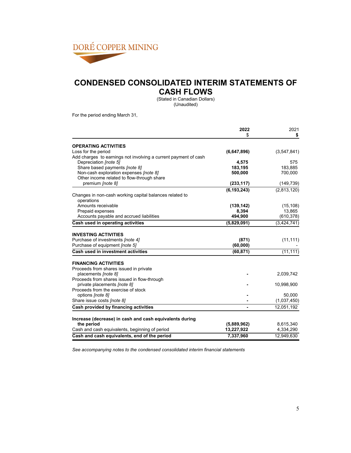

### **CONDENSED CONSOLIDATED INTERIM STATEMENTS OF CASH FLOWS**

(Stated in Canadian Dollars) (Unaudited)

For the period ending March 31,

|                                                                       | 2022          | 2021        |
|-----------------------------------------------------------------------|---------------|-------------|
|                                                                       | \$            | \$          |
| <b>OPERATING ACTIVITIES</b>                                           |               |             |
| Loss for the period                                                   | (6,647,896)   | (3,547,841) |
| Add charges to earnings not involving a current payment of cash       |               |             |
| Depreciation [note 5]                                                 | 4,575         | 575         |
| Share based payments [note 8]                                         | 183,195       | 183,885     |
| Non-cash exploration expenses [note 8]                                | 500,000       | 700,000     |
| Other income related to flow-through share                            |               |             |
| premium [note 8]                                                      | (233, 117)    | (149, 739)  |
|                                                                       | (6, 193, 243) | (2,813,120) |
| Changes in non-cash working capital balances related to               |               |             |
| operations                                                            |               |             |
| Amounts receivable                                                    | (139, 142)    | (15, 108)   |
| Prepaid expenses                                                      | 8,394         | 13,865      |
| Accounts payable and accrued liabilities                              | 494,900       | (610, 378)  |
| Cash used in operating activities                                     | (5,829,091)   | (3,424,741) |
|                                                                       |               |             |
| <b>INVESTING ACTIVITIES</b>                                           |               |             |
| Purchase of investments [note 4]                                      | (871)         | (11, 111)   |
| Purchase of equipment <i>[note 5]</i>                                 | (60, 000)     |             |
| Cash used in investment activities                                    | (60, 871)     | (11, 111)   |
| <b>FINANCING ACTIVITIES</b>                                           |               |             |
| Proceeds from shares issued in private                                |               |             |
| placements [note 8]                                                   |               | 2,039,742   |
| Proceeds from shares issued in flow-through                           |               |             |
| private placements <i>[note 8]</i>                                    |               | 10,998,900  |
| Proceeds from the exercise of stock                                   |               |             |
| options [note 8]                                                      |               | 50,000      |
| Share issue costs [note 8]                                            |               | (1,037,450) |
| Cash provided by financing activities                                 |               | 12,051,192  |
|                                                                       |               |             |
| Increase (decrease) in cash and cash equivalents during<br>the period | (5,889,962)   | 8,615,340   |
| Cash and cash equivalents, beginning of period                        | 13,227,922    | 4,334,290   |
| Cash and cash equivalents, end of the period                          | 7,337,960     | 12,949,630  |

*See accompanying notes to the condensed consolidated interim financial statements*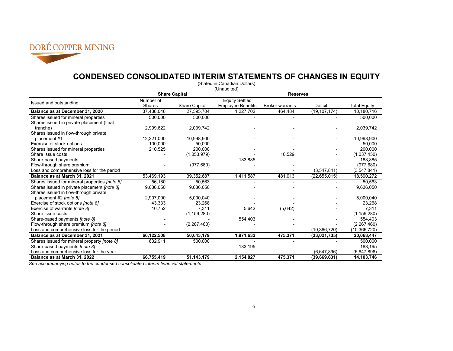

### **CONDENSED CONSOLIDATED INTERIM STATEMENTS OF CHANGES IN EQUITY**

| (Stated in Canadian Dollars)                  |            |                      |                          |                        |                |                     |
|-----------------------------------------------|------------|----------------------|--------------------------|------------------------|----------------|---------------------|
|                                               |            |                      | (Unaudited)              |                        |                |                     |
|                                               |            | <b>Share Capital</b> |                          | <b>Reserves</b>        |                |                     |
|                                               | Number of  |                      | <b>Equity Settled</b>    |                        |                |                     |
| Issued and outstanding:                       | Shares     | <b>Share Capital</b> | <b>Employee Benefits</b> | <b>Broker warrants</b> | <b>Deficit</b> | <b>Total Equity</b> |
| Balance as at December 31, 2020               | 37,438,046 | 27,595,704           | 1,227,702                | 464,484                | (19, 107, 174) | 10,180,716          |
| Shares issued for mineral properties          | 500,000    | 500.000              |                          |                        |                | 500,000             |
| Shares issued in private placement (final     |            |                      |                          |                        |                |                     |
| tranche)                                      | 2,999,622  | 2,039,742            |                          |                        |                | 2,039,742           |
| Shares issued in flow-through private         |            |                      |                          |                        |                |                     |
| placement #1                                  | 12,221,000 | 10,998,900           |                          |                        |                | 10,998,900          |
| Exercise of stock options                     | 100.000    | 50,000               |                          |                        |                | 50,000              |
| Shares issued for mineral properties          | 210,525    | 200,000              |                          |                        |                | 200,000             |
| Share issue costs                             |            | (1,053,979)          |                          | 16,529                 |                | (1,037,450)         |
| Share-based payments                          |            |                      | 183,885                  |                        |                | 183,885             |
| Flow-through share premium                    |            | (977, 680)           |                          |                        |                | (977, 680)          |
| Loss and comprehensive loss for the period    |            |                      |                          |                        | (3,547,841)    | (3,547,841)         |
| Balance as at March 31, 2021                  | 53,469,193 | 39,352,687           | 1,411,587                | 481,013                | (22, 655, 015) | 18,590,272          |
| Shares issued for mineral properties [note 8] | 56,180     | 50,563               |                          |                        |                | 50.563              |
| Shares issued in private placement [note 8]   | 9,636,050  | 9,636,050            |                          |                        |                | 9,636,050           |
| Shares issued in flow-through private         |            |                      |                          |                        |                |                     |
| placement #2 [note 8]                         | 2,907,000  | 5,000,040            |                          |                        |                | 5,000,040           |
| Exercise of stock options [note 8]            | 43,333     | 23,268               |                          |                        |                | 23,268              |
| Exercise of warrants <i>[note 8]</i>          | 10,752     | 7,311                | 5,642                    | (5,642)                |                | 7,311               |
| Share issue costs                             |            | (1, 159, 280)        |                          |                        |                | (1, 159, 280)       |
| Share-based payments [note 8]                 |            |                      | 554,403                  |                        |                | 554.403             |
| Flow-through share premium <i>[note 8]</i>    |            | (2, 267, 460)        |                          |                        |                | (2,267,460)         |
| Loss and comprehensive loss for the period    |            |                      |                          |                        | (10, 366, 720) | (10, 366, 720)      |
| Balance as at December 31, 2021               | 66,122,508 | 50,643,179           | 1,971,632                | 475,371                | (33,021,735)   | 20,068,447          |
| Shares issued for mineral property [note 8]   | 632,911    | 500,000              |                          |                        |                | 500,000             |
| Share-based payments [note 8]                 |            |                      | 183,195                  |                        |                | 183,195             |
| Loss and comprehensive loss for the year      |            |                      |                          |                        | (6,647,896)    | (6,647,896)         |
| Balance as at March 31, 2022                  | 66,755,419 | 51,143,179           | 2,154,827                | 475,371                | (39, 669, 631) | 14,103,746          |

*See accompanying notes to the condensed consolidated interim financial statements*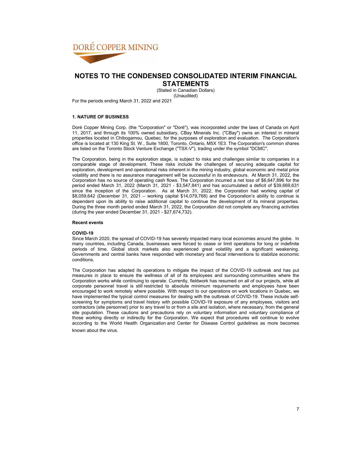

**STATEMENTS** (Stated in Canadian Dollars)

(Unaudited)

For the periods ending March 31, 2022 and 2021

### **1. NATURE OF BUSINESS**

Doré Copper Mining Corp. (the "Corporation" or "Doré"), was incorporated under the laws of Canada on April 11, 2017, and through its 100% owned subsidiary, CBay Minerals Inc. ("CBay") owns an interest in mineral properties located in Chibogamou, Quebec, for the purposes of exploration and evaluation. The Corporation's office is located at 130 King St. W., Suite 1800, Toronto, Ontario, M5X 1E3. The Corporation's common shares are listed on the Toronto Stock Venture Exchange ("TSX-V"), trading under the symbol "DCMC".

The Corporation, being in the exploration stage, is subject to risks and challenges similar to companies in a comparable stage of development. These risks include the challenges of securing adequate capital for exploration, development and operational risks inherent in the mining industry, global economic and metal price volatility and there is no assurance management will be successful in its endeavours. At March 31, 2022, the Corporation has no source of operating cash flows. The Corporation incurred a net loss of \$6,647,896 for the period ended March 31, 2022 (March 31, 2021 - \$3,547,841) and has accumulated a deficit of \$39,669,631 since the inception of the Corporation. As at March 31, 2022, the Corporation had working capital of \$8,059,642 (December 31, 2021 – working capital \$14,079,768) and the Corporation's ability to continue is dependent upon its ability to raise additional capital to continue the development of its mineral properties. During the three month period ended March 31, 2022, the Corporation did not complete any financing activities (during the year ended December 31, 2021 - \$27,674,732).

#### **Recent events**

#### **COVID-19**

Since March 2020, the spread of COVID-19 has severely impacted many local economies around the globe. In many countries, including Canada, businesses were forced to cease or limit operations for long or indefinite periods of time. Global stock markets also experienced great volatility and a significant weakening. Governments and central banks have responded with monetary and fiscal interventions to stabilize economic conditions.

The Corporation has adapted its operations to mitigate the impact of the COVID-19 outbreak and has put measures in place to ensure the wellness of all of its employees and surrounding communities where the Corporation works while continuing to operate. Currently, fieldwork has resumed on all of our projects, while all corporate personnel travel is still restricted to absolute minimum requirements and employees have been encouraged to work remotely where possible. With respect to our operations on work locations in Quebec, we have implemented the typical control measures for dealing with the outbreak of COVID-19. These include selfscreening for symptoms and travel history with possible COVID-19 exposure of any employees, visitors and contractors (site personnel) prior to any travel to or from a site and isolation, where necessary, from the general site population. These cautions and precautions rely on voluntary information and voluntary compliance of those working directly or indirectly for the Corporation. We expect that procedures will continue to evolve according to the World Health Organization and Center for Disease Control guidelines as more becomes known about the virus.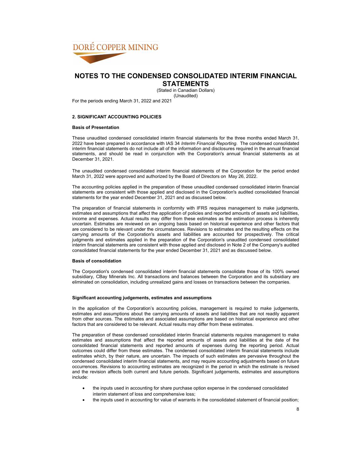

**STATEMENTS** (Stated in Canadian Dollars)

(Unaudited)

For the periods ending March 31, 2022 and 2021

### **2. SIGNIFICANT ACCOUNTING POLICIES**

### **Basis of Presentation**

These unaudited condensed consolidated interim financial statements for the three months ended March 31, 2022 have been prepared in accordance with IAS 34 *Interim Financial Reporting*. The condensed consolidated interim financial statements do not include all of the information and disclosures required in the annual financial statements, and should be read in conjunction with the Corporation's annual financial statements as at December 31, 2021.

The unaudited condensed consolidated interim financial statements of the Corporation for the period ended March 31, 2022 were approved and authorized by the Board of Directors on May 26, 2022.

The accounting policies applied in the preparation of these unaudited condensed consolidated interim financial statements are consistent with those applied and disclosed in the Corporation's audited consolidated financial statements for the year ended December 31, 2021 and as discussed below.

The preparation of financial statements in conformity with IFRS requires management to make judgments, estimates and assumptions that affect the application of policies and reported amounts of assets and liabilities, income and expenses. Actual results may differ from these estimates as the estimation process is inherently uncertain. Estimates are reviewed on an ongoing basis based on historical experience and other factors that are considered to be relevant under the circumstances. Revisions to estimates and the resulting effects on the carrying amounts of the Corporation's assets and liabilities are accounted for prospectively. The critical judgments and estimates applied in the preparation of the Corporation's unaudited condensed consolidated interim financial statements are consistent with those applied and disclosed in Note 2 of the Company's audited consolidated financial statements for the year ended December 31, 2021 and as discussed below.

#### **Basis of consolidation**

The Corporation's condensed consolidated interim financial statements consolidate those of its 100% owned subsidiary, CBay Minerals Inc. All transactions and balances between the Corporation and its subsidiary are eliminated on consolidation, including unrealized gains and losses on transactions between the companies.

#### **Significant accounting judgements, estimates and assumptions**

In the application of the Corporation's accounting policies, management is required to make judgements, estimates and assumptions about the carrying amounts of assets and liabilities that are not readily apparent from other sources. The estimates and associated assumptions are based on historical experience and other factors that are considered to be relevant. Actual results may differ from these estimates.

The preparation of these condensed consolidated interim financial statements requires management to make estimates and assumptions that affect the reported amounts of assets and liabilities at the date of the consolidated financial statements and reported amounts of expenses during the reporting period. Actual outcomes could differ from these estimates. The condensed consolidated interim financial statements include estimates which, by their nature, are uncertain. The impacts of such estimates are pervasive throughout the condensed consolidated interim financial statements, and may require accounting adjustments based on future occurrences. Revisions to accounting estimates are recognized in the period in which the estimate is revised and the revision affects both current and future periods. Significant judgements, estimates and assumptions include:

- the inputs used in accounting for share purchase option expense in the condensed consolidated interim statement of loss and comprehensive loss;
- the inputs used in accounting for value of warrants in the consolidated statement of financial position;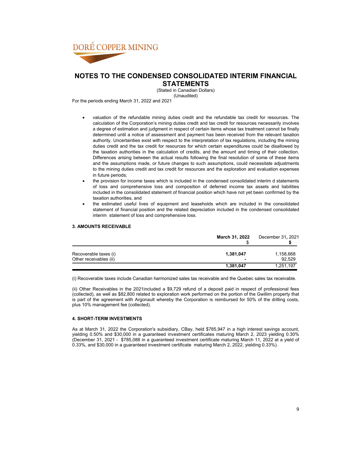

**STATEMENTS**

(Stated in Canadian Dollars) (Unaudited)

For the periods ending March 31, 2022 and 2021

- valuation of the refundable mining duties credit and the refundable tax credit for resources. The calculation of the Corporation's mining duties credit and tax credit for resources necessarily involves a degree of estimation and judgment in respect of certain items whose tax treatment cannot be finally determined until a notice of assessment and payment has been received from the relevant taxation authority. Uncertainties exist with respect to the interpretation of tax regulations, including the mining duties credit and the tax credit for resources for which certain expenditures could be disallowed by the taxation authorities in the calculation of credits, and the amount and timing of their collection. Differences arising between the actual results following the final resolution of some of these items and the assumptions made, or future changes to such assumptions, could necessitate adjustments to the mining duties credit and tax credit for resources and the exploration and evaluation expenses in future periods;
- the provision for income taxes which is included in the condensed consolidated interim d statements of loss and comprehensive loss and composition of deferred income tax assets and liabilities included in the consolidated statement of financial position which have not yet been confirmed by the taxation authorities, and
- the estimated useful lives of equipment and leaseholds which are included in the consolidated statement of financial position and the related depreciation included in the condensed consolidated interim statement of loss and comprehensive loss.

### **3. AMOUNTS RECEIVABLE**

|                        | March 31, 2022 | December 31, 2021 |
|------------------------|----------------|-------------------|
| Recoverable taxes (i)  | 1,381,047      | 1,158,668         |
| Other receivables (ii) |                | 92.529            |
|                        | 1,381,047      | 1,251,197         |

(i) Recoverable taxes include Canadian harmonized sales tax receivable and the Quebec sales tax receivable.

(ii) Other Receivables in the 2021included a \$9,729 refund of a deposit paid in respect of professional fees (collected), as well as \$82,800 related to exploration work performed on the portion of the Gwillim property that is part of the agreement with Argonault whereby the Corporation is reimbursed for 50% of the drilling costs, plus 10% management fee (collected).

### **4. SHORT-TERM INVESTMENTS**

As at March 31, 2022 the Corporation's subsidiary, CBay, held \$785,947 in a high interest savings account, yielding 0.50% and \$30,000 in a guaranteed investment certificates maturing March 2, 2023 yielding 0.30% (December 31, 2021 - \$785,088 in a guaranteed investment certificate maturing March 11, 2022 at a yield of 0.33%, and \$30,000 in a guaranteed investment certificate maturing March 2, 2022, yielding 0.33%).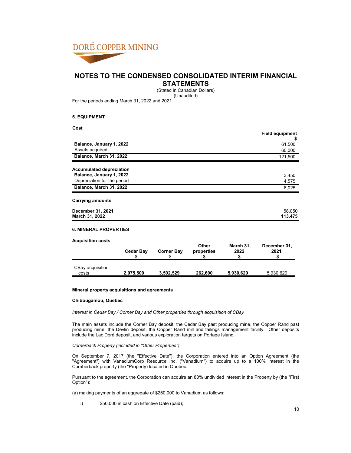

**STATEMENTS**

(Stated in Canadian Dollars)

(Unaudited)

For the periods ending March 31, 2022 and 2021

### **5. EQUIPMENT**

**Cost**

|                                 | <b>Field equipment</b> |
|---------------------------------|------------------------|
| Balance, January 1, 2022        | D<br>61,500            |
| Assets acquired                 | 60,000                 |
| Balance, March 31, 2022         | 121,500                |
| <b>Accumulated depreciation</b> |                        |
| Balance, January 1, 2022        | 3,450                  |
| Depreciation for the period     | 4,575                  |
| Balance, March 31, 2022         | 8,025                  |
| <b>Carrying amounts</b>         |                        |
| December 31, 2021               | 58,050                 |
| March 31, 2022                  | 113,475                |

#### **Acquisition costs Cedar Bay Corner Bay Other properties March 31, 2022 December 31, 2021**  $\texttt{\$} \texttt{\$} \texttt{\$} \texttt{\$} \texttt{\$} \texttt{\$} \texttt{\$} \texttt{\$} \texttt{\$} \texttt{\$} \texttt{\$} \texttt{\$} \texttt{\$} \texttt{\$}$ CBay acquisition costs **2,075,500 3,592,529 262,600 5,930,629** 5,930,629

### **Mineral property acquisitions and agreements**

#### **Chibougamou, Quebec**

*Interest in Cedar Bay / Corner Bay and Other properties through acquisition of CBay*

The main assets include the Corner Bay deposit, the Cedar Bay past producing mine, the Copper Rand past producing mine, the Devlin deposit, the Copper Rand mill and tailings management facility. Other deposits include the Lac Doré deposit, and various exploration targets on Portage Island.

#### *Cornerback Property (included in "Other Properties")*

On September 7, 2017 (the "Effective Date"), the Corporation entered into an Option Agreement (the "Agreement") with VanadiumCorp Resource Inc. ("Vanadium") to acquire up to a 100% interest in the Cornberback property (the "Property) located in Quebec.

Pursuant to the agreement, the Corporation can acquire an 80% undivided interest in the Property by (the "First Option"):

(a) making payments of an aggregate of \$250,000 to Vanadium as follows:

i)  $$50,000$  in cash on Effective Date (paid);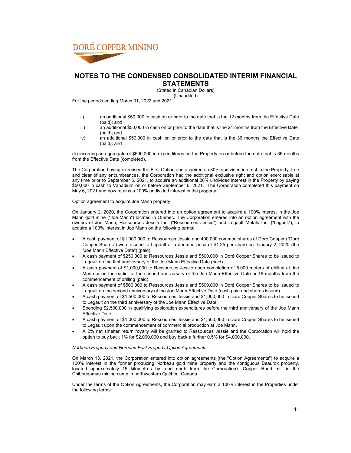

**STATEMENTS**

(Stated in Canadian Dollars) (Unaudited)

For the periods ending March 31, 2022 and 2021

- ii) an additional \$50,000 in cash on or prior to the date that is the 12 months from the Effective Date (paid); and
- iii) an additional \$50,000 in cash on or prior to the date that is the 24 months from the Effective Date (paid); and
- iv) an additional \$50,000 in cash on or prior to the date that is the 36 months the Effective Date (paid); and

(b) incurring an aggregate of \$500,000 in expenditures on the Property on or before the date that is 36 months from the Effective Date (completed).

The Corporation having exercised the First Option and acquired an 80% undivided interest in the Property, free and clear of any encumbrances, the Corporation had the additional exclusive right and option exercisable at any time prior to September 6, 2021, to acquire an additional 20% undivided interest in the Property by paying \$50,000 in cash to Vanadium on or before September 6, 2021. The Corporation completed this payment on May 6, 2021 and now retains a 100% undivided interest in the property.

Option agreement to acquire Joe Mann property

On January 2, 2020, the Corporation entered into an option agreement to acquire a 100% interest in the Joe Mann gold mine ("Joe Mann") located in Québec. The Corporation entered into an option agreement with the owners of Joe Mann, Ressources Jessie Inc. ("Ressources Jessie") and Legault Metals Inc. ("Legault"), to acquire a 100% interest in Joe Mann on the following terms:

- A cash payment of \$1,000,000 to Ressources Jessie and 400,000 common shares of Doré Copper ("Doré Copper Shares") were issued to Legault at a deemed price of \$1.25 per share on January 2, 2020 (the "Joe Mann Effective Date") (paid).
- A cash payment of \$250,000 to Ressources Jessie and \$500,000 in Doré Copper Shares to be issued to Legault on the first anniversary of the Joe Mann Effective Date (paid).
- A cash payment of \$1,000,000 to Ressources Jessie upon completion of 5,000 meters of drilling at Joe Mann or on the earlier of the second anniversary of the Joe Mann Effective Date or 18 months from the commencement of drilling (paid).
- A cash payment of \$500,000 to Ressources Jessie and \$500,000 in Doré Copper Shares to be issued to Legault on the second anniversary of the Joe Mann Effective Date (cash paid and shares issued).
- A cash payment of \$1,500,000 to Ressources Jessie and \$1,000,000 in Doré Copper Shares to be issued to Legault on the third anniversary of the Joe Mann Effective Date.
- Spending \$2,500,000 in qualifying exploration expenditures before the third anniversary of the Joe Mann Effective Date.
- A cash payment of \$1,000,000 to Ressources Jessie and \$1,500,000 in Doré Copper Shares to be issued to Legault upon the commencement of commercial production at Joe Mann.
- A 2% net smelter return royalty will be granted to Ressources Jessie and the Corporation will hold the option to buy back 1% for \$2,000,000 and buy back a further 0.5% for \$4,000,000.

#### *Norbeau Property and Norbeau East Property Option Agreements*

On March 13, 2021, the Corporation entered into option agreements (the "Option Agreements") to acquire a 100% interest in the former producing Norbeau gold mine property and the contiguous Beaurox property, located approximately 15 kilometres by road north from the Corporation's Copper Rand mill in the Chibougamau mining camp in northwestern Québec, Canada.

Under the terms of the Option Agreements, the Corporation may earn a 100% interest in the Properties under the following terms: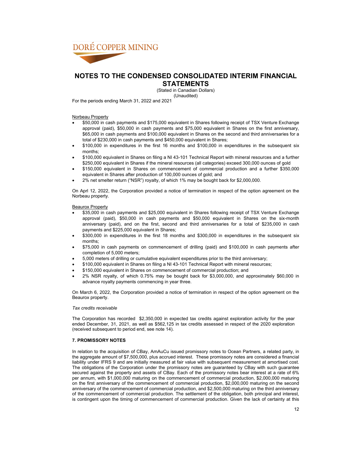

**STATEMENTS**

(Stated in Canadian Dollars) (Unaudited)

For the periods ending March 31, 2022 and 2021

Norbeau Property

- \$50,000 in cash payments and \$175,000 equivalent in Shares following receipt of TSX Venture Exchange approval (paid), \$50,000 in cash payments and \$75,000 equivalent in Shares on the first anniversary, \$65,000 in cash payments and \$100,000 equivalent in Shares on the second and third anniversaries for a total of \$230,000 in cash payments and \$450,000 equivalent in Shares;
- \$100,000 in expenditures in the first 16 months and \$100,000 in expenditures in the subsequent six months;
- \$100,000 equivalent in Shares on filing a NI 43-101 Technical Report with mineral resources and a further \$250,000 equivalent in Shares if the mineral resources (all categories) exceed 300,000 ounces of gold
- \$150,000 equivalent in Shares on commencement of commercial production and a further \$350,000 equivalent in Shares after production of 100,000 ounces of gold; and
- 2% net smelter return ("NSR") royalty, of which 1% may be bought back for \$2,000,000.

On Aprl 12, 2022, the Corporation provided a notice of termination in respect of the option agreement on the Norbeau property.

Beaurox Property

- \$35,000 in cash payments and \$25,000 equivalent in Shares following receipt of TSX Venture Exchange approval (paid), \$50,000 in cash payments and \$50,000 equivalent in Shares on the six-month anniversary (paid), and on the first, second and third anniversaries for a total of \$235,000 in cash payments and \$225,000 equivalent in Shares;
- \$300,000 in expenditures in the first 18 months and \$300,000 in expenditures in the subsequent six months;
- \$75,000 in cash payments on commencement of drilling (paid) and \$100,000 in cash payments after completion of 5,000 meters;
- 5,000 meters of drilling or cumulative equivalent expenditures prior to the third anniversary;
- \$100,000 equivalent in Shares on filing a NI 43-101 Technical Report with mineral resources;
- \$150,000 equivalent in Shares on commencement of commercial production; and
- 2% NSR royalty, of which 0.75% may be bought back for \$3,000,000, and approximately \$60,000 in advance royalty payments commencing in year three.

On March 6, 2022, the Corporation provided a notice of termination in respect of the option agreement on the Beaurox property.

#### *Tax credits receivable*

The Corporation has recorded \$2,350,000 in expected tax credits against exploration activity for the year ended December, 31, 2021, as well as \$562,125 in tax credits assessed in respect of the 2020 exploration (received subsequent to period end, see note 14).

### **7. PROMISSORY NOTES**

In relation to the acquisition of CBay, AmAuCu issued promissory notes to Ocean Partners, a related party, in the aggregate amount of \$7,500,000, plus accrued interest. These promissory notes are considered a financial liability under IFRS 9 and are initially measured at fair value with subsequent measurement at amortised cost. The obligations of the Corporation under the promissory notes are guaranteed by CBay with such guarantee secured against the property and assets of CBay. Each of the promissory notes bear interest at a rate of 6% per annum, with \$1,000,000 maturing on the commencement of commercial production, \$2,000,000 maturing on the first anniversary of the commencement of commercial production, \$2,000,000 maturing on the second anniversary of the commencement of commercial production, and \$2,500,000 maturing on the third anniversary of the commencement of commercial production. The settlement of the obligation, both principal and interest, is contingent upon the timing of commencement of commercial production. Given the lack of certainty at this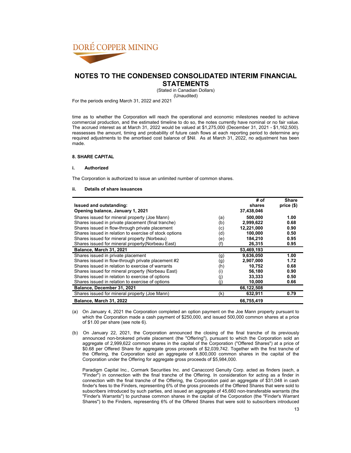

**STATEMENTS**

(Stated in Canadian Dollars) (Unaudited)

For the periods ending March 31, 2022 and 2021

time as to whether the Corporation will reach the operational and economic milestones needed to achieve commercial production, and the estimated timeline to do so, the notes currently have nominal or no fair value. The accrued interest as at March 31, 2022 would be valued at \$1,275,000 (December 31, 2021 - \$1,162,500). reassesses the amount, timing and probability of future cash flows at each reporting period to determine any required adjustments to the amortised cost balance of \$Nil. As at March 31, 2022, no adjustment has been made.

### **8. SHARE CAPITAL**

### **i. Authorized**

The Corporation is authorized to issue an unlimited number of common shares.

### **ii. Details of share issuances**

|                                                        |     | # of       | Share      |
|--------------------------------------------------------|-----|------------|------------|
| <b>Issued and outstanding:</b>                         |     | shares     | price (\$) |
| Opening balance, January 1, 2021                       |     | 37,438,046 |            |
| Shares issued for mineral property (Joe Mann)          | (a) | 500,000    | 1.00       |
| Shares issued in private placement (final tranche)     | (b) | 2,999,622  | 0.68       |
| Shares issued in flow-through private placement        | (c) | 12,221,000 | 0.90       |
| Shares issued in relation to exercise of stock options | (d) | 100.000    | 0.50       |
| Shares issued for mineral property (Norbeau)           | (e) | 184.210    | 0.95       |
| Shares issued for mineral property (Norbeau East)      | (f) | 26,315     | 0.95       |
| Balance, March 31, 2021                                |     | 53,469,193 |            |
| Shares issued in private placement                     | (g) | 9,636,050  | 1.00       |
| Shares issued in flow-through private placement #2     | (g) | 2,907,000  | 1.72       |
| Shares issued in relation to exercise of warrants      | (h) | 10,752     | 0.68       |
| Shares issued for mineral property (Norbeau East)      | (i) | 56,180     | 0.90       |
| Shares issued in relation to exercise of options       | (i) | 33,333     | 0.50       |
| Shares issued in relation to exercise of options       | (i) | 10,000     | 0.66       |
| Balance, December 31, 2021                             |     | 66,122,508 |            |
| Shares issued for mineral property (Joe Mann)          | (k) | 632,911    | 0.79       |
| Balance, March 31, 2022                                |     | 66,755,419 |            |

(a) On January 4, 2021 the Corporation completed an option payment on the Joe Mann property pursuant to which the Corporation made a cash payment of \$250,000, and issued 500,000 common shares at a price of \$1.00 per share (see note 6).

(b) On January 22, 2021, the Corporation announced the closing of the final tranche of its previously announced non-brokered private placement (the "Offering"), pursuant to which the Corporation sold an aggregate of 2,999,622 common shares in the capital of the Corporation ("Offered Shares") at a price of \$0.68 per Offered Share for aggregate gross proceeds of \$2,039,742. Together with the first tranche of the Offering, the Corporation sold an aggregate of 8,800,000 common shares in the capital of the Corporation under the Offering for aggregate gross proceeds of \$5,984,000.

Paradigm Capital Inc., Cormark Securities Inc. and Canaccord Genuity Corp. acted as finders (each, a "Finder") in connection with the final tranche of the Offering. In consideration for acting as a finder in connection with the final tranche of the Offering, the Corporation paid an aggregate of \$31,048 in cash finder's fees to the Finders, representing 6% of the gross proceeds of the Offered Shares that were sold to subscribers introduced by such parties, and issued an aggregate of 45,660 non-transferable warrants (the "Finder's Warrants") to purchase common shares in the capital of the Corporation (the "Finder's Warrant Shares") to the Finders, representing 6% of the Offered Shares that were sold to subscribers introduced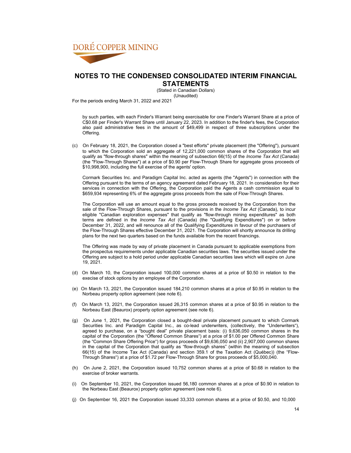

**STATEMENTS** (Stated in Canadian Dollars) (Unaudited)

For the periods ending March 31, 2022 and 2021

by such parties, with each Finder's Warrant being exercisable for one Finder's Warrant Share at a price of C\$0.68 per Finder's Warrant Share until January 22, 2023. In addition to the finder's fees, the Corporation also paid administrative fees in the amount of \$49,499 in respect of three subscriptions under the Offering.

(c) On February 18, 2021, the Corporation closed a "best efforts" private placement (the "Offering"), pursuant to which the Corporation sold an aggregate of 12,221,000 common shares of the Corporation that will qualify as "flow-through shares" within the meaning of subsection 66(15) of the *Income Tax Act* (Canada) (the "Flow-Through Shares") at a price of \$0.90 per Flow-Through Share for aggregate gross proceeds of \$10,998,900, including the full exercise of the agents' option.

Cormark Securities Inc. and Paradigm Capital Inc. acted as agents (the "Agents") in connection with the Offering pursuant to the terms of an agency agreement dated February 18, 2021. In consideration for their services in connection with the Offering, the Corporation paid the Agents a cash commission equal to \$659,934 representing 6% of the aggregate gross proceeds from the sale of Flow-Through Shares.

The Corporation will use an amount equal to the gross proceeds received by the Corporation from the sale of the Flow-Through Shares, pursuant to the provisions in the *Income Tax Act* (Canada), to incur eligible "Canadian exploration expenses" that qualify as "flow-through mining expenditures" as both terms are defined in the *Income Tax Act* (Canada) (the "Qualifying Expenditures") on or before December 31, 2022, and will renounce all of the Qualifying Expenditures in favour of the purchasers of the Flow-Through Shares effective December 31, 2021. The Corporation will shortly announce its drilling plans for the next two quarters based on the funds available from the recent financings.

The Offering was made by way of private placement in Canada pursuant to applicable exemptions from the prospectus requirements under applicable Canadian securities laws. The securities issued under the Offering are subject to a hold period under applicable Canadian securities laws which will expire on June 19, 2021.

- (d) On March 10, the Corporation issued 100,000 common shares at a price of \$0.50 in relation to the execise of stock options by an employee of the Corporation.
- (e) On March 13, 2021, the Corporation issued 184,210 common shares at a price of \$0.95 in relation to the Norbeau property option agreement (see note 6).
- (f) On March 13, 2021, the Corporation issued 26,315 common shares at a price of \$0.95 in relation to the Norbeau East (Beaurox) property option agreement (see note 6).
- (g) On June 1, 2021, the Corporation closed a bought-deal private placement pursuant to which Cormark Securities Inc. and Paradigm Capital Inc., as co-lead underwriters, (collectively, the "Underwriters"), agreed to purchase, on a "bought deal" private placement basis: (i) 9,636,050 common shares in the capital of the Corporation (the "Offered Common Shares") at a price of \$1.00 per Offered Common Share (the "Common Share Offering Price") for gross proceeds of \$9,636,050 and (ii) 2,907,000 common shares in the capital of the Corporation that qualify as "flow-through shares" (within the meaning of subsection 66(15) of the Income Tax Act (Canada) and section 359.1 of the Taxation Act (Québec)) (the "Flow-Through Shares") at a price of \$1.72 per Flow-Through Share for gross proceeds of \$5,000,040.
- (h) On June 2, 2021, the Corporation issued 10,752 common shares at a price of \$0.68 in relation to the exercise of broker warrants.
- (i) On September 10, 2021, the Corporation issued 56,180 common shares at a price of \$0.90 in relation to the Norbeau East (Beaurox) property option agreement (see note 6).
- (j) On September 16, 2021 the Corporation issued 33,333 common shares at a price of \$0.50, and 10,000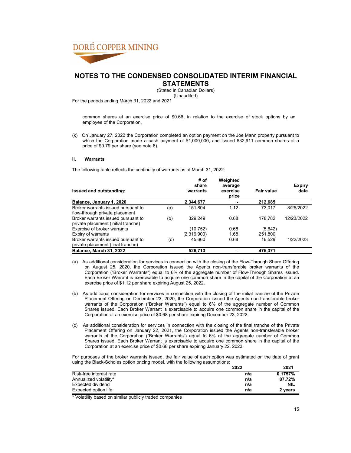

**STATEMENTS**

(Stated in Canadian Dollars)

(Unaudited)

For the periods ending March 31, 2022 and 2021

common shares at an exercise price of \$0.66, in relation to the exercise of stock options by an employee of the Corporation.

(k) On January 27, 2022 the Corporation completed an option payment on the Joe Mann property pursuant to which the Corporation made a cash payment of \$1,000,000, and issued 632,911 common shares at a price of \$0.79 per share (see note 6).

### **ii. Warrants**

The following table reflects the continuity of warrants as at March 31, 2022:

| Issued and outstanding:             |     | # of<br>share<br>warrants | Weighted<br>average<br>exercise<br>price | <b>Fair value</b> | <b>Expiry</b><br>date |
|-------------------------------------|-----|---------------------------|------------------------------------------|-------------------|-----------------------|
| Balance, January 1, 2020            |     | 2,344,677                 |                                          | 212,685           |                       |
| Broker warrants issued pursuant to  | (a) | 151.804                   | 1.12                                     | 73.017            | 8/25/2022             |
| flow-through private placement      |     |                           |                                          |                   |                       |
| Broker warrants issued pursuant to  | (b) | 329.249                   | 0.68                                     | 178.782           | 12/23/2022            |
| private placement (initial tranche) |     |                           |                                          |                   |                       |
| Exercise of broker warrants         |     | (10, 752)                 | 0.68                                     | (5,642)           |                       |
| Expiry of warrants                  |     | (2,316,900)               | 1.68                                     | 251,800           |                       |
| Broker warrants issued pursuant to  | (c) | 45.660                    | 0.68                                     | 16.529            | 1/22/2023             |
| private placement (final tranche)   |     |                           |                                          |                   |                       |
| Balance, March 31, 2022             |     | 526.713                   |                                          | 475.371           |                       |

- (a) As additional consideration for services in connection with the closing of the Flow-Through Share Offering on August 25, 2020, the Corporation issued the Agents non-transferable broker warrants of the Corporation ("Broker Warrants") equal to 6% of the aggregate number of Flow-Through Shares issued. Each Broker Warrant is exercisable to acquire one common share in the capital of the Corporation at an exercise price of \$1.12 per share expiring August 25, 2022.
- (b) As additional consideration for services in connection with the closing of the initial tranche of the Private Placement Offering on December 23, 2020, the Corporation issued the Agents non-transferable broker warrants of the Corporation ("Broker Warrants") equal to 6% of the aggregate number of Common Shares issued. Each Broker Warrant is exercisable to acquire one common share in the capital of the Corporation at an exercise price of \$0.68 per share expiring December 23, 2022.
- (c) As additional consideration for services in connection with the closing of the final tranche of the Private Placement Offering on January 22, 2021, the Corporation issued the Agents non-transferable broker warrants of the Corporation ("Broker Warrants") equal to 6% of the aggregate number of Common Shares issued. Each Broker Warrant is exercisable to acquire one common share in the capital of the Corporation at an exercise price of \$0.68 per share expiring January 22. 2023.

For purposes of the broker warrants issued, the fair value of each option was estimated on the date of grant using the Black-Scholes option pricing model, with the following assumptions:

|                         | 2022 | 2021       |
|-------------------------|------|------------|
| Risk-free interest rate | n/a  | 0.1757%    |
| Annualized volatility*  | n/a  | 87.72%     |
| Expected dividend       | n/a  | <b>NIL</b> |
| Expected option life    | n/a  | 2 years    |

\* Volatility based on similar publicly traded companies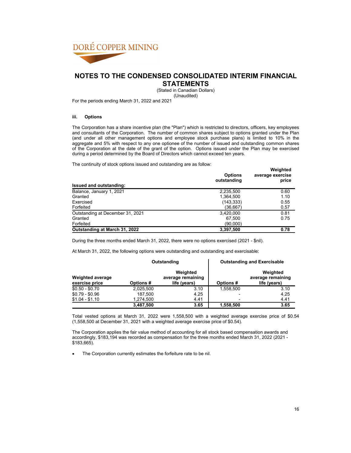

**STATEMENTS**

(Stated in Canadian Dollars) (Unaudited)

For the periods ending March 31, 2022 and 2021

### **iii. Options**

The Corporation has a share incentive plan (the "Plan") which is restricted to directors, officers, key employees and consultants of the Corporation. The number of common shares subject to options granted under the Plan (and under all other management options and employee stock purchase plans) is limited to 10% in the aggregate and 5% with respect to any one optionee of the number of issued and outstanding common shares of the Corporation at the date of the grant of the option. Options issued under the Plan may be exercised during a period determined by the Board of Directors which cannot exceed ten years.

The continuity of stock options issued and outstanding are as follow:

| The continuity of alook options issued and calciumum are donomow. | <b>Options</b><br>outstanding | Weighted<br>average exercise<br>price |
|-------------------------------------------------------------------|-------------------------------|---------------------------------------|
| Issued and outstanding:                                           |                               |                                       |
| Balance, January 1, 2021                                          | 2,235,500                     | 0.60                                  |
| Granted                                                           | 1,364,500                     | 1.10                                  |
| Exercised                                                         | (143, 333)                    | 0.55                                  |
| Forfeited                                                         | (36,667)                      | 0.57                                  |
| Outstanding at December 31, 2021                                  | 3,420,000                     | 0.81                                  |
| Granted                                                           | 67.500                        | 0.75                                  |
| Forfeited                                                         | (90,000)                      |                                       |
| Outstanding at March 31, 2022                                     | 3,397,500                     | 0.78                                  |

During the three months ended March 31, 2022, there were no options exercised (2021 - \$nil).

At March 31, 2022, the following options were outstanding and outstanding and exercisable:

|                                           | Outstanding |                                               |                 | <b>Outstanding and Exercisable</b>            |
|-------------------------------------------|-------------|-----------------------------------------------|-----------------|-----------------------------------------------|
| <b>Weighted average</b><br>exercise price | Options #   | Weighted<br>average remaining<br>life (years) | <b>Options#</b> | Weighted<br>average remaining<br>life (years) |
| $$0.50 - $0.70$                           | 2,025,500   | 3.10                                          | 1.558.500       | 3.10                                          |
| $$0.79 - $0.96$                           | 187.500     | 4.25                                          |                 | 4.25                                          |
| $$1.04 - $1.10$                           | 1,274,500   | 4.41                                          |                 | 4.41                                          |
|                                           | 3,487,500   | 3.65                                          | 1,558,500       | 3.65                                          |

Total vested options at March 31, 2022 were 1,558,500 with a weighted average exercise price of \$0.54 (1,558,500 at December 31, 2021 with a weighted average exercise price of \$0.54).

The Corporation applies the fair value method of accounting for all stock based compensation awards and accordingly, \$183,194 was recorded as compensation for the three months ended March 31, 2022 (2021 - \$183,665).

• The Corporation currently estimates the forfeiture rate to be nil.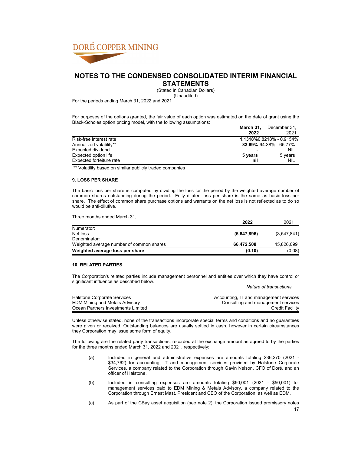

**STATEMENTS**

(Stated in Canadian Dollars)

(Unaudited)

For the periods ending March 31, 2022 and 2021

For purposes of the options granted, the fair value of each option was estimated on the date of grant using the Black-Scholes option pricing model, with the following assumptions:

|                          | March 31, | December 31.             |
|--------------------------|-----------|--------------------------|
|                          | 2022      | 2021                     |
| Risk-free interest rate  |           | 1.1318%0.8218% - 0.9154% |
| Annualized volatility**  |           | 83.69% 94.38% - 65.77%   |
| Expected dividend        |           | <b>NIL</b>               |
| Expected option life     | 5 years   | 5 years                  |
| Expected forfeiture rate | nil       | NIL                      |

\*\* Volatility based on similar publicly traded companies

### **9. LOSS PER SHARE**

The basic loss per share is computed by dividing the loss for the period by the weighted average number of common shares outstanding during the period. Fully diluted loss per share is the same as basic loss per share. The effect of common share purchase options and warrants on the net loss is not reflected as to do so would be anti-dilutive.

Three months ended March 31,

|                                          | 2022        | 2021        |
|------------------------------------------|-------------|-------------|
| Numerator:                               |             |             |
| Net loss                                 | (6,647,896) | (3,547,841) |
| Denominator:                             |             |             |
| Weighted average number of common shares | 66.472.508  | 45,826,099  |
| Weighted average loss per share          | (0.10)      | (0.08)      |

### **10. RELATED PARTIES**

The Corporation's related parties include management personnel and entities over which they have control or significant influence as described below. *Nature of transactions*

| Halstone Corporate Services           | Accounting, IT and management services |
|---------------------------------------|----------------------------------------|
| <b>EDM Mining and Metals Advisory</b> | Consulting and management services     |
| Ocean Partners Investments Limited    | <b>Credit Facility</b>                 |

Unless otherwise stated, none of the transactions incorporate special terms and conditions and no guarantees were given or received. Outstanding balances are usually settled in cash, however in certain circumstances they Corporation may issue some form of equity.

The following are the related party transactions, recorded at the exchange amount as agreed to by the parties for the three months ended March 31, 2022 and 2021, respectively:

- (a) Included in general and administrative expenses are amounts totaling \$36,270 (2021 \$34,762) for accounting, IT and management services provided by Halstone Corporate Services, a company related to the Corporation through Gavin Nelson, CFO of Doré, and an officer of Halstone.
- (b) Included in consulting expenses are amounts totaling \$50,001 (2021 \$50,001) for management services paid to EDM Mining & Metals Advisory, a company related to the Corporation through Ernest Mast, President and CEO of the Corporation, as well as EDM.
- (c) As part of the CBay asset acquisition (see note 2), the Corporation issued promissory notes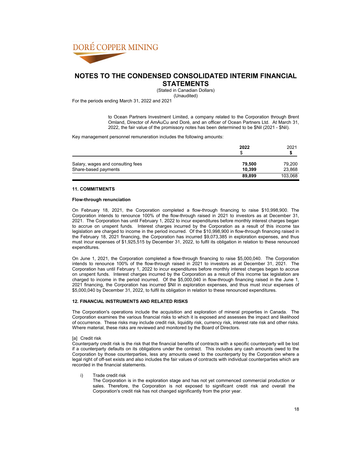

**STATEMENTS**

(Stated in Canadian Dollars)

(Unaudited)

For the periods ending March 31, 2022 and 2021

to Ocean Partners Investment Limited, a company related to the Corporation through Brent Omland, Director of AmAuCu and Doré, and an officer of Ocean Partners Ltd. At March 31, 2022, the fair value of the promissory notes has been determined to be \$Nil (2021 - \$Nil).

Key management personnel remuneration includes the following amounts:

|                                   | 2022   | 2021    |
|-----------------------------------|--------|---------|
| Salary, wages and consulting fees | 79.500 | 79,200  |
| Share-based payments              | 10.399 | 23,868  |
|                                   | 89,899 | 103,068 |

### **11. COMMITMENTS**

#### **Flow-through renunciation**

On February 18, 2021, the Corporation completed a flow-through financing to raise \$10,998,900. The Corporation intends to renounce 100% of the flow-through raised in 2021 to investors as at December 31, 2021. The Corporation has until February 1, 2022 to incur expenditures before monthly interest charges began to accrue on unspent funds. Interest charges incurred by the Corporation as a result of this income tax legislation are charged to income in the period incurred. Of the \$10,998,900 in flow-through financing raised in the February 18, 2021 financing, the Corporation has incurred \$9,073,385 in exploration expenses, and thus must incur expenses of \$1,925,515 by December 31, 2022, to fulfil its obligation in relation to these renounced expenditures

On June 1, 2021, the Corporation completed a flow-through financing to raise \$5,000,040. The Corporation intends to renounce 100% of the flow-through raised in 2021 to investors as at December 31, 2021. The Corporation has until February 1, 2022 to incur expenditures before monthly interest charges began to accrue on unspent funds. Interest charges incurred by the Corporation as a result of this income tax legislation are charged to income in the period incurred. Of the \$5,000,040 in flow-through financing raised in the June 1, 2021 financing, the Corporation has incurred \$Nil in exploration expenses, and thus must incur expenses of \$5,000,040 by December 31, 2022, to fulfil its obligation in relation to these renounced expenditures.

### **12. FINANCIAL INSTRUMENTS AND RELATED RISKS**

The Corporation's operations include the acquisition and exploration of mineral properties in Canada. The Corporation examines the various financial risks to which it is exposed and assesses the impact and likelihood of occurrence. These risks may include credit risk, liquidity risk, currency risk, interest rate risk and other risks. Where material, these risks are reviewed and monitored by the Board of Directors.

#### [a] Credit risk

Counterparty credit risk is the risk that the financial benefits of contracts with a specific counterparty will be lost if a counterparty defaults on its obligations under the contract. This includes any cash amounts owed to the Corporation by those counterparties, less any amounts owed to the counterparty by the Corporation where a legal right of off-set exists and also includes the fair values of contracts with individual counterparties which are recorded in the financial statements.

i) Trade credit risk

The Corporation is in the exploration stage and has not yet commenced commercial production or sales. Therefore, the Corporation is not exposed to significant credit risk and overall the Corporation's credit risk has not changed significantly from the prior year.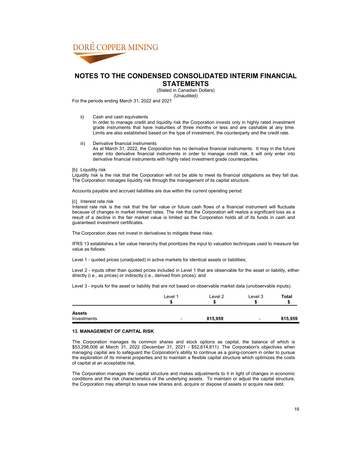

(Stated in Canadian Dollars) (Unaudited)

For the periods ending March 31, 2022 and 2021

ii) Cash and cash equivalents

In order to manage credit and liquidity risk the Corporation invests only in highly rated investment grade instruments that have maturities of three months or less and are cashable at any time. Limits are also established based on the type of investment, the counterparty and the credit rate.

iii) Derivative financial instruments As at March 31, 2022, the Corporation has no derivative financial instruments. It may in the future enter into derivative financial instruments in order to manage credit risk, it will only enter into derivative financial instruments with highly rated investment grade counterparties.

### [b] Liquidity risk

Liquidity risk is the risk that the Corporation will not be able to meet its financial obligations as they fall due. The Corporation manages liquidity risk through the management of its capital structure.

Accounts payable and accrued liabilities are due within the current operating period.

#### [c] Interest rate risk

Interest rate risk is the risk that the fair value or future cash flows of a financial instrument will fluctuate because of changes in market interest rates. The risk that the Corporation will realize a significant loss as a result of a decline in the fair market value is limited as the Corporation holds all of its funds in cash and guaranteed investment certificates.

The Corporation does not invest in derivatives to mitigate these risks.

IFRS 13 establishes a fair value hierarchy that prioritizes the input to valuation techniques used to measure fair value as follows:

Level 1 - quoted prices (unadjusted) in active markets for identical assets or liabilities;

Level 2 - inputs other than quoted prices included in Level 1 that are observable for the asset or liability, either directly (i.e., as prices) or indirectly (i.e., derived from prices); and

Level 3 - inputs for the asset or liability that are not based on observable market data (unobservable inputs).

|                              | Level 1<br>œ<br>- 7 | Level <sub>2</sub> | Level 3 | <b>Total</b> |
|------------------------------|---------------------|--------------------|---------|--------------|
| <b>Assets</b><br>Investments | ۰                   | 815,959            | -       | 815,959      |

#### **13. MANAGEMENT OF CAPITAL RISK**

The Corporation manages its common shares and stock options as capital, the balance of which is \$53,298,006 at March 31, 2022 (December 31, 2021 - \$52,614,811). The Corporation's objectives when managing capital are to safeguard the Corporation's ability to continue as a going-concern in order to pursue the exploration of its mineral properties and to maintain a flexible capital structure which optimizes the costs of capital at an acceptable risk.

The Corporation manages the capital structure and makes adjustments to it in light of changes in economic conditions and the risk characteristics of the underlying assets. To maintain or adjust the capital structure, the Corporation may attempt to issue new shares and, acquire or dispose of assets or acquire new debt.